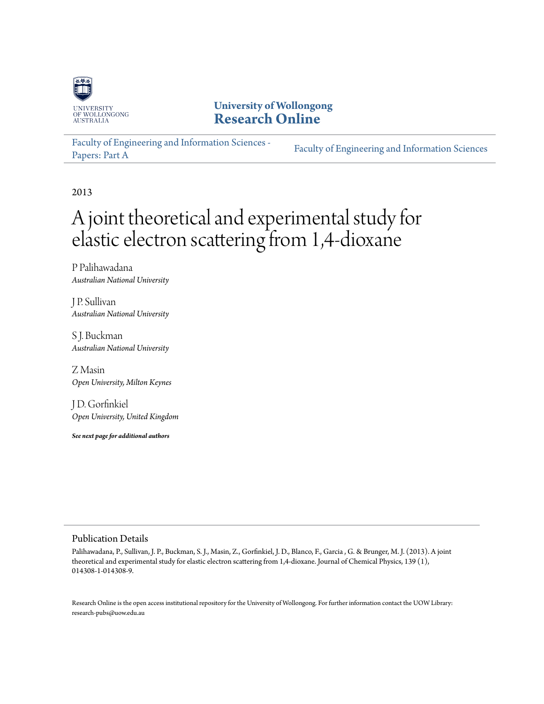

**University of Wollongong [Research Online](http://ro.uow.edu.au)**

[Faculty of Engineering and Information Sciences -](http://ro.uow.edu.au/eispapers) [Papers: Part A](http://ro.uow.edu.au/eispapers) [Faculty of Engineering and Information Sciences](http://ro.uow.edu.au/eis)

2013

# A joint theoretical and experimental study for elastic electron scattering from 1,4-dioxane

P Palihawadana *Australian National University*

J P. Sullivan *Australian National University*

S J. Buckman *Australian National University*

Z Masin *Open University, Milton Keynes*

J D. Gorfinkiel *Open University, United Kingdom*

*See next page for additional authors*

#### Publication Details

Palihawadana, P., Sullivan, J. P., Buckman, S. J., Masin, Z., Gorfinkiel, J. D., Blanco, F., Garcia , G. & Brunger, M. J. (2013). A joint theoretical and experimental study for elastic electron scattering from 1,4-dioxane. Journal of Chemical Physics, 139 (1), 014308-1-014308-9.

Research Online is the open access institutional repository for the University of Wollongong. For further information contact the UOW Library: research-pubs@uow.edu.au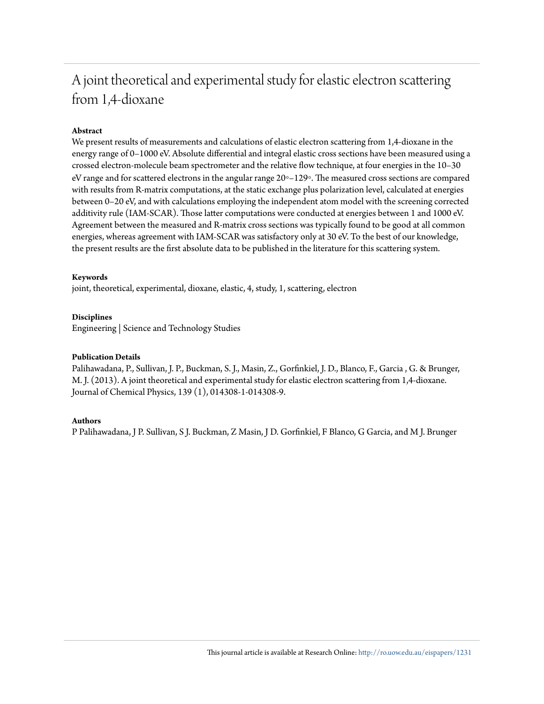## A joint theoretical and experimental study for elastic electron scattering from 1,4-dioxane

#### **Abstract**

We present results of measurements and calculations of elastic electron scattering from 1,4-dioxane in the energy range of 0–1000 eV. Absolute differential and integral elastic cross sections have been measured using a crossed electron-molecule beam spectrometer and the relative flow technique, at four energies in the 10–30 eV range and for scattered electrons in the angular range 20◦–129◦. The measured cross sections are compared with results from R-matrix computations, at the static exchange plus polarization level, calculated at energies between 0–20 eV, and with calculations employing the independent atom model with the screening corrected additivity rule (IAM-SCAR). Those latter computations were conducted at energies between 1 and 1000 eV. Agreement between the measured and R-matrix cross sections was typically found to be good at all common energies, whereas agreement with IAM-SCAR was satisfactory only at 30 eV. To the best of our knowledge, the present results are the first absolute data to be published in the literature for this scattering system.

#### **Keywords**

joint, theoretical, experimental, dioxane, elastic, 4, study, 1, scattering, electron

#### **Disciplines**

Engineering | Science and Technology Studies

#### **Publication Details**

Palihawadana, P., Sullivan, J. P., Buckman, S. J., Masin, Z., Gorfinkiel, J. D., Blanco, F., Garcia , G. & Brunger, M. J. (2013). A joint theoretical and experimental study for elastic electron scattering from 1,4-dioxane. Journal of Chemical Physics, 139 (1), 014308-1-014308-9.

#### **Authors**

P Palihawadana, J P. Sullivan, S J. Buckman, Z Masin, J D. Gorfinkiel, F Blanco, G Garcia, and M J. Brunger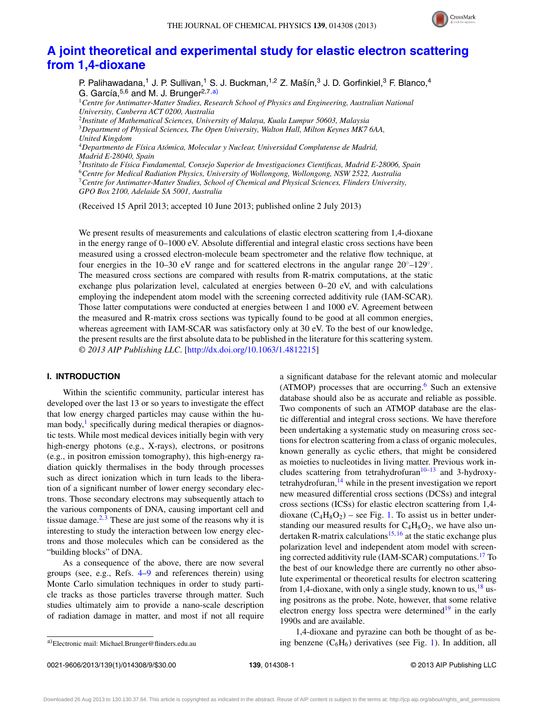

### **[A joint theoretical and experimental study for elastic electron scattering](http://dx.doi.org/10.1063/1.4812215) [from 1,4-dioxane](http://dx.doi.org/10.1063/1.4812215)**

P. Palihawadana,<sup>1</sup> J. P. Sullivan,<sup>1</sup> S. J. Buckman,<sup>1,2</sup> Z. Mašín,<sup>3</sup> J. D. Gorfinkiel,<sup>3</sup> F. Blanco,<sup>4</sup> G. García,<sup>5,6</sup> and M. J. Brunger<sup>2,7[,a\)](#page-2-0)</sup>

<sup>1</sup>*Centre for Antimatter-Matter Studies, Research School of Physics and Engineering, Australian National University, Canberra ACT 0200, Australia*

<sup>2</sup>*Institute of Mathematical Sciences, University of Malaya, Kuala Lumpur 50603, Malaysia* <sup>3</sup>*Department of Physical Sciences, The Open University, Walton Hall, Milton Keynes MK7 6AA, United Kingdom*

<sup>4</sup>*Departmento de Física Atómica, Molecular y Nuclear, Universidad Complutense de Madrid, Madrid E-28040, Spain*

<sup>5</sup>*Instituto de Física Fundamental, Consejo Superior de Investigaciones Cientificas, Madrid E-28006, Spain*

<sup>6</sup>*Centre for Medical Radiation Physics, University of Wollongong, Wollongong, NSW 2522, Australia*

<sup>7</sup>*Centre for Antimatter-Matter Studies, School of Chemical and Physical Sciences, Flinders University,*

*GPO Box 2100, Adelaide SA 5001, Australia*

(Received 15 April 2013; accepted 10 June 2013; published online 2 July 2013)

We present results of measurements and calculations of elastic electron scattering from 1,4-dioxane in the energy range of 0–1000 eV. Absolute differential and integral elastic cross sections have been measured using a crossed electron-molecule beam spectrometer and the relative flow technique, at four energies in the 10–30 eV range and for scattered electrons in the angular range  $20°-129°$ . The measured cross sections are compared with results from R-matrix computations, at the static exchange plus polarization level, calculated at energies between 0–20 eV, and with calculations employing the independent atom model with the screening corrected additivity rule (IAM-SCAR). Those latter computations were conducted at energies between 1 and 1000 eV. Agreement between the measured and R-matrix cross sections was typically found to be good at all common energies, whereas agreement with IAM-SCAR was satisfactory only at 30 eV. To the best of our knowledge, the present results are the first absolute data to be published in the literature for this scattering system. *© 2013 AIP Publishing LLC*. [\[http://dx.doi.org/10.1063/1.4812215\]](http://dx.doi.org/10.1063/1.4812215)

#### **I. INTRODUCTION**

Within the scientific community, particular interest has developed over the last 13 or so years to investigate the effect that low energy charged particles may cause within the human body, $\frac{1}{1}$  $\frac{1}{1}$  $\frac{1}{1}$  specifically during medical therapies or diagnostic tests. While most medical devices initially begin with very high-energy photons (e.g., X-rays), electrons, or positrons (e.g., in positron emission tomography), this high-energy radiation quickly thermalises in the body through processes such as direct ionization which in turn leads to the liberation of a significant number of lower energy secondary electrons. Those secondary electrons may subsequently attach to the various components of DNA, causing important cell and tissue damage.<sup>[2,](#page-9-1)[3](#page-9-2)</sup> These are just some of the reasons why it is interesting to study the interaction between low energy electrons and those molecules which can be considered as the "building blocks" of DNA.

As a consequence of the above, there are now several groups (see, e.g., Refs. [4](#page-9-3)[–9](#page-9-4) and references therein) using Monte Carlo simulation techniques in order to study particle tracks as those particles traverse through matter. Such studies ultimately aim to provide a nano-scale description of radiation damage in matter, and most if not all require a significant database for the relevant atomic and molecular (ATMOP) processes that are occurring.<sup>6</sup> Such an extensive database should also be as accurate and reliable as possible. Two components of such an ATMOP database are the elastic differential and integral cross sections. We have therefore been undertaking a systematic study on measuring cross sections for electron scattering from a class of organic molecules, known generally as cyclic ethers, that might be considered as moieties to nucleotides in living matter. Previous work includes scattering from tetrahydrofuran $10-13$  and 3-hydroxytetrahydrofuran, $14$  while in the present investigation we report new measured differential cross sections (DCSs) and integral cross sections (ICSs) for elastic electron scattering from 1,4 dioxane  $(C_4H_8O_2)$  – see Fig. [1.](#page-3-0) To assist us in better understanding our measured results for  $C_4H_8O_2$ , we have also un-dertaken R-matrix calculations<sup>[15,](#page-9-9) [16](#page-9-10)</sup> at the static exchange plus polarization level and independent atom model with screening corrected additivity rule (IAM-SCAR) computations.<sup>17</sup> To the best of our knowledge there are currently no other absolute experimental or theoretical results for electron scattering from 1,4-dioxane, with only a single study, known to us,  $^{18}$  using positrons as the probe. Note, however, that some relative electron energy loss spectra were determined $19$  in the early 1990s and are available.

<span id="page-2-0"></span>a)Electronic mail: [Michael.Brunger@flinders.edu.au](mailto: Michael.Brunger@flinders.edu.au)

1,4-dioxane and pyrazine can both be thought of as being benzene  $(C_6H_6)$  derivatives (see Fig. [1\)](#page-3-0). In addition, all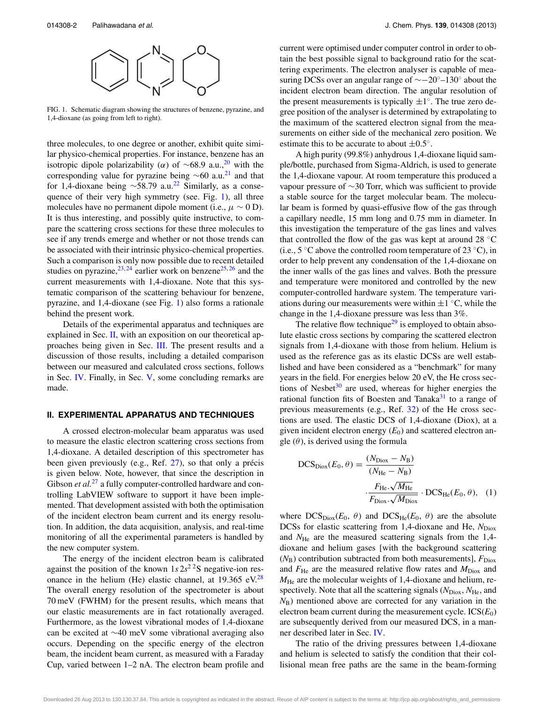<span id="page-3-0"></span>

FIG. 1. Schematic diagram showing the structures of benzene, pyrazine, and 1,4-dioxane (as going from left to right).

three molecules, to one degree or another, exhibit quite similar physico-chemical properties. For instance, benzene has an isotropic dipole polarizability ( $\alpha$ ) of ~68.9 a.u.,<sup>[20](#page-9-14)</sup> with the corresponding value for pyrazine being  $\sim$ 60 a.u.<sup>[21](#page-9-15)</sup> and that for 1,4-dioxane being  $\sim$ 58.79 a.u.<sup>[22](#page-9-16)</sup> Similarly, as a consequence of their very high symmetry (see. Fig. [1\)](#page-3-0), all three molecules have no permanent dipole moment (i.e.,  $\mu \sim 0$  D). It is thus interesting, and possibly quite instructive, to compare the scattering cross sections for these three molecules to see if any trends emerge and whether or not those trends can be associated with their intrinsic physico-chemical properties. Such a comparison is only now possible due to recent detailed studies on pyrazine,  $23, 24$  $23, 24$  $23, 24$  earlier work on benzene  $25, 26$  $25, 26$  and the current measurements with 1,4-dioxane. Note that this systematic comparison of the scattering behaviour for benzene, pyrazine, and 1,4-dioxane (see Fig. [1\)](#page-3-0) also forms a rationale behind the present work.

Details of the experimental apparatus and techniques are explained in Sec.  $\mathbf{II}$ , with an exposition on our theoretical approaches being given in Sec. [III.](#page-4-0) The present results and a discussion of those results, including a detailed comparison between our measured and calculated cross sections, follows in Sec. [IV.](#page-6-0) Finally, in Sec. [V,](#page-8-0) some concluding remarks are made.

#### <span id="page-3-1"></span>**II. EXPERIMENTAL APPARATUS AND TECHNIQUES**

A crossed electron-molecular beam apparatus was used to measure the elastic electron scattering cross sections from 1,4-dioxane. A detailed description of this spectrometer has been given previously (e.g., Ref. [27\)](#page-9-21), so that only a précis is given below. Note, however, that since the description in Gibson *et al.*<sup>[27](#page-9-21)</sup> a fully computer-controlled hardware and controlling LabVIEW software to support it have been implemented. That development assisted with both the optimisation of the incident electron beam current and its energy resolution. In addition, the data acquisition, analysis, and real-time monitoring of all the experimental parameters is handled by the new computer system.

The energy of the incident electron beam is calibrated against the position of the known  $1s2s^2$ <sup>2</sup>S negative-ion resonance in the helium (He) elastic channel, at  $19.365$  eV.<sup>28</sup> The overall energy resolution of the spectrometer is about 70 meV (FWHM) for the present results, which means that our elastic measurements are in fact rotationally averaged. Furthermore, as the lowest vibrational modes of 1,4-dioxane can be excited at ∼40 meV some vibrational averaging also occurs. Depending on the specific energy of the electron beam, the incident beam current, as measured with a Faraday Cup, varied between 1–2 nA. The electron beam profile and current were optimised under computer control in order to obtain the best possible signal to background ratio for the scattering experiments. The electron analyser is capable of measuring DCSs over an angular range of  $\sim$ −20°–130° about the incident electron beam direction. The angular resolution of the present measurements is typically  $\pm 1^\circ$ . The true zero degree position of the analyser is determined by extrapolating to the maximum of the scattered electron signal from the measurements on either side of the mechanical zero position. We estimate this to be accurate to about  $\pm 0.5^\circ$ .

A high purity (99.8%) anhydrous 1,4-dioxane liquid sample/bottle, purchased from Sigma-Aldrich, is used to generate the 1,4-dioxane vapour. At room temperature this produced a vapour pressure of ∼30 Torr, which was sufficient to provide a stable source for the target molecular beam. The molecular beam is formed by quasi-effusive flow of the gas through a capillary needle, 15 mm long and 0.75 mm in diameter. In this investigation the temperature of the gas lines and valves that controlled the flow of the gas was kept at around 28 ◦C (i.e.,  $5 \degree C$  above the controlled room temperature of 23  $\degree C$ ), in order to help prevent any condensation of the 1,4-dioxane on the inner walls of the gas lines and valves. Both the pressure and temperature were monitored and controlled by the new computer-controlled hardware system. The temperature variations during our measurements were within  $\pm 1$  °C, while the change in the 1,4-dioxane pressure was less than 3%.

The relative flow technique<sup>29</sup> is employed to obtain absolute elastic cross sections by comparing the scattered electron signals from 1,4-dioxane with those from helium. Helium is used as the reference gas as its elastic DCSs are well established and have been considered as a "benchmark" for many years in the field. For energies below 20 eV, the He cross sections of Nesbet $30$  are used, whereas for higher energies the rational function fits of Boesten and Tanaka $31$  to a range of previous measurements (e.g., Ref. [32\)](#page-9-26) of the He cross sections are used. The elastic DCS of 1,4-dioxane (Diox), at a given incident electron energy  $(E_0)$  and scattered electron angle  $(\theta)$ , is derived using the formula

DCS<sub>Diox</sub>
$$
(E_0, \theta) = \frac{(N_{\text{Diox}} - N_B)}{(N_{\text{He}} - N_B)}
$$
  

$$
\cdot \frac{F_{\text{He}} \cdot \sqrt{M_{\text{He}}}}{F_{\text{Diox}} \cdot \sqrt{M_{\text{Diox}}}} \cdot \text{DCS}_{\text{He}}(E_0, \theta), \quad (1)
$$

where  $DCS_{Diox}(E_0, \theta)$  and  $DCS_{He}(E_0, \theta)$  are the absolute DCSs for elastic scattering from 1,4-dioxane and He,  $N_{\text{Diox}}$ and  $N_{\text{He}}$  are the measured scattering signals from the 1,4dioxane and helium gases [with the background scattering  $(N_B)$  contribution subtracted from both measurements],  $F_{\text{Diox}}$ and  $F_{\text{He}}$  are the measured relative flow rates and  $M_{\text{Diox}}$  and  $M_{\text{He}}$  are the molecular weights of 1,4-dioxane and helium, respectively. Note that all the scattering signals ( $N_{\text{Diox}}$ ,  $N_{\text{He}}$ , and *N*B) mentioned above are corrected for any variation in the electron beam current during the measurement cycle.  $ICS(E_0)$ are subsequently derived from our measured DCS, in a manner described later in Sec. [IV.](#page-6-0)

The ratio of the driving pressures between 1,4-dioxane and helium is selected to satisfy the condition that their collisional mean free paths are the same in the beam-forming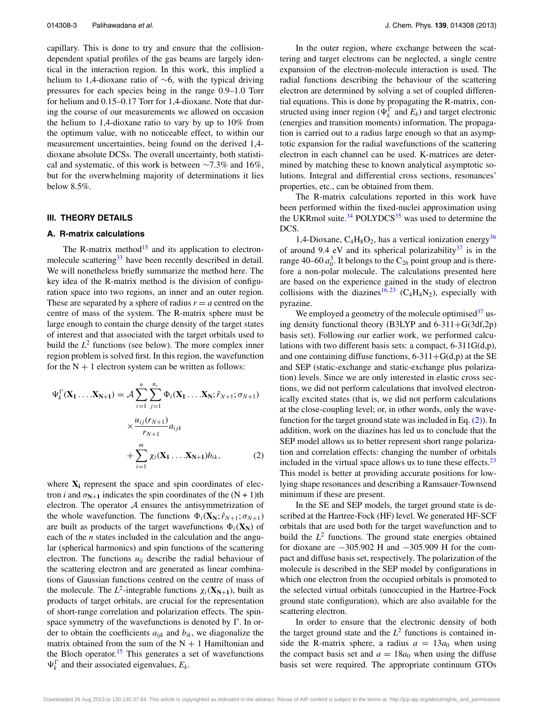capillary. This is done to try and ensure that the collisiondependent spatial profiles of the gas beams are largely identical in the interaction region. In this work, this implied a helium to 1,4-dioxane ratio of ∼6, with the typical driving pressures for each species being in the range 0.9–1.0 Torr for helium and 0.15–0.17 Torr for 1,4-dioxane. Note that during the course of our measurements we allowed on occasion the helium to 1,4-dioxane ratio to vary by up to 10% from the optimum value, with no noticeable effect, to within our measurement uncertainties, being found on the derived 1,4 dioxane absolute DCSs. The overall uncertainty, both statistical and systematic, of this work is between  $\sim$ 7.3% and 16%, but for the overwhelming majority of determinations it lies below 8.5%.

#### <span id="page-4-2"></span><span id="page-4-0"></span>**III. THEORY DETAILS**

#### **A. R-matrix calculations**

The R-matrix method $15$  and its application to electron-molecule scattering<sup>[33](#page-9-27)</sup> have been recently described in detail. We will nonetheless briefly summarize the method here. The key idea of the R-matrix method is the division of configuration space into two regions, an inner and an outer region. These are separated by a sphere of radius  $r = a$  centred on the centre of mass of the system. The R-matrix sphere must be large enough to contain the charge density of the target states of interest and that associated with the target orbitals used to build the  $L^2$  functions (see below). The more complex inner region problem is solved first. In this region, the wavefunction for the  $N + 1$  electron system can be written as follows:

$$
\Psi_k^{\Gamma}(\mathbf{X}_1 \dots \mathbf{X}_{N+1}) = \mathcal{A} \sum_{i=1}^n \sum_{j=1}^{n_c} \Phi_i(\mathbf{X}_1 \dots \mathbf{X}_N; \hat{r}_{N+1}; \sigma_{N+1})
$$

$$
\times \frac{u_{ij}(r_{N+1})}{r_{N+1}} a_{ijk}
$$

$$
+ \sum_{i=1}^m \chi_i(\mathbf{X}_1 \dots \mathbf{X}_{N+1}) b_{ik}, \tag{2}
$$

where  $X_i$  represent the space and spin coordinates of electron *i* and  $\sigma_{N+1}$  indicates the spin coordinates of the  $(N + 1)$ th electron. The operator  $A$  ensures the antisymmetrization of the whole wavefunction. The functions  $\Phi_i(\mathbf{X}_N; \hat{r}_{N+1}; \sigma_{N+1})$ are built as products of the target wavefunctions  $\Phi_i(\mathbf{X}_N)$  of each of the *n* states included in the calculation and the angular (spherical harmonics) and spin functions of the scattering electron. The functions  $u_{ij}$  describe the radial behaviour of the scattering electron and are generated as linear combinations of Gaussian functions centred on the centre of mass of the molecule. The  $L^2$ -integrable functions  $\chi_i(\mathbf{X}_{N+1})$ , built as products of target orbitals, are crucial for the representation of short-range correlation and polarization effects. The spinspace symmetry of the wavefunctions is denoted by  $\Gamma$ . In order to obtain the coefficients  $a_{ijk}$  and  $b_{ik}$ , we diagonalize the matrix obtained from the sum of the  $N + 1$  Hamiltonian and the Bloch operator.<sup>[15](#page-9-9)</sup> This generates a set of wavefunctions  $\Psi_k^{\Gamma}$  and their associated eigenvalues,  $E_k$ .

In the outer region, where exchange between the scattering and target electrons can be neglected, a single centre expansion of the electron-molecule interaction is used. The radial functions describing the behaviour of the scattering electron are determined by solving a set of coupled differential equations. This is done by propagating the R-matrix, constructed using inner region ( $\Psi_k^{\Gamma}$  and  $E_k$ ) and target electronic (energies and transition moments) information. The propagation is carried out to a radius large enough so that an asymptotic expansion for the radial wavefunctions of the scattering electron in each channel can be used. K-matrices are determined by matching these to known analytical asymptotic solutions. Integral and differential cross sections, resonances' properties, etc., can be obtained from them.

The R-matrix calculations reported in this work have been performed within the fixed-nuclei approximation using the UKRmol suite. $34$  POLYDCS<sup>35</sup> was used to determine the DCS.

1,4-Dioxane,  $C_4H_8O_2$ , has a vertical ionization energy<sup>36</sup> of around 9.4 eV and its spherical polarizability<sup>37</sup> is in the range 40–60  $a_0^3$ . It belongs to the  $C_{2h}$  point group and is therefore a non-polar molecule. The calculations presented here are based on the experience gained in the study of electron collisions with the diazines<sup>[16,](#page-9-10) [23](#page-9-17)</sup> (C<sub>4</sub>H<sub>4</sub>N<sub>2</sub>), especially with pyrazine.

<span id="page-4-1"></span>We employed a geometry of the molecule optimised  $37$  using density functional theory (B3LYP and  $6-311+G(3df,2p)$ ) basis set). Following our earlier work, we performed calculations with two different basis sets: a compact, 6-311G(d,p), and one containing diffuse functions,  $6-311+G(d,p)$  at the SE and SEP (static-exchange and static-exchange plus polarization) levels. Since we are only interested in elastic cross sections, we did not perform calculations that involved electronically excited states (that is, we did not perform calculations at the close-coupling level; or, in other words, only the wavefunction for the target ground state was included in Eq. [\(2\)\)](#page-4-1). In addition, work on the diazines has led us to conclude that the SEP model allows us to better represent short range polarization and correlation effects: changing the number of orbitals included in the virtual space allows us to tune these effects. $^{23}$ This model is better at providing accurate positions for lowlying shape resonances and describing a Ramsauer-Townsend minimum if these are present.

In the SE and SEP models, the target ground state is described at the Hartree-Fock (HF) level. We generated HF-SCF orbitals that are used both for the target wavefunction and to build the  $L^2$  functions. The ground state energies obtained for dioxane are −305.902 H and −305.909 H for the compact and diffuse basis set, respectively. The polarization of the molecule is described in the SEP model by configurations in which one electron from the occupied orbitals is promoted to the selected virtual orbitals (unoccupied in the Hartree-Fock ground state configuration), which are also available for the scattering electron.

In order to ensure that the electronic density of both the target ground state and the  $L^2$  functions is contained inside the R-matrix sphere, a radius  $a = 13a_0$  when using the compact basis set and  $a = 18a_0$  when using the diffuse basis set were required. The appropriate continuum GTOs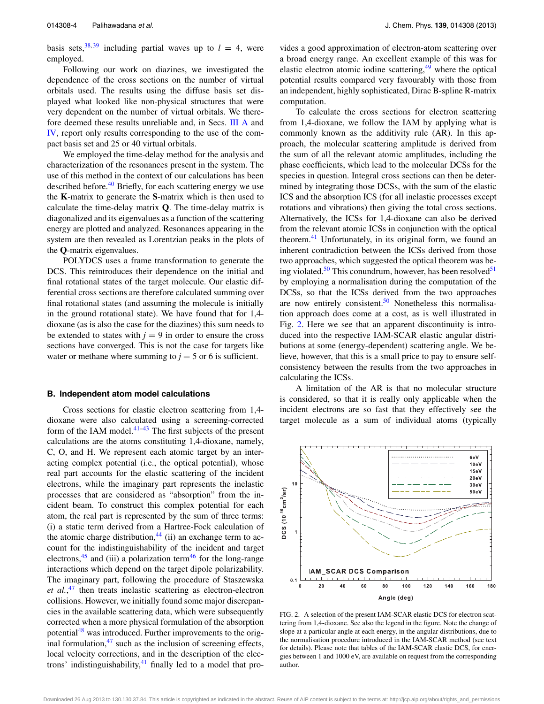basis sets,<sup>38, [39](#page-9-33)</sup> including partial waves up to  $l = 4$ , were employed.

Following our work on diazines, we investigated the dependence of the cross sections on the number of virtual orbitals used. The results using the diffuse basis set displayed what looked like non-physical structures that were very dependent on the number of virtual orbitals. We therefore deemed these results unreliable and, in Secs. [III A](#page-4-2) and [IV,](#page-6-0) report only results corresponding to the use of the compact basis set and 25 or 40 virtual orbitals.

We employed the time-delay method for the analysis and characterization of the resonances present in the system. The use of this method in the context of our calculations has been described before.<sup>[40](#page-10-0)</sup> Briefly, for each scattering energy we use the **K**-matrix to generate the **S**-matrix which is then used to calculate the time-delay matrix **Q**. The time-delay matrix is diagonalized and its eigenvalues as a function of the scattering energy are plotted and analyzed. Resonances appearing in the system are then revealed as Lorentzian peaks in the plots of the **Q**-matrix eigenvalues.

POLYDCS uses a frame transformation to generate the DCS. This reintroduces their dependence on the initial and final rotational states of the target molecule. Our elastic differential cross sections are therefore calculated summing over final rotational states (and assuming the molecule is initially in the ground rotational state). We have found that for 1,4 dioxane (as is also the case for the diazines) this sum needs to be extended to states with  $j = 9$  in order to ensure the cross sections have converged. This is not the case for targets like water or methane where summing to  $j = 5$  or 6 is sufficient.

#### **B. Independent atom model calculations**

Cross sections for elastic electron scattering from 1,4 dioxane were also calculated using a screening-corrected form of the IAM model. $41-43$  The first subjects of the present calculations are the atoms constituting 1,4-dioxane, namely, C, O, and H. We represent each atomic target by an interacting complex potential (i.e., the optical potential), whose real part accounts for the elastic scattering of the incident electrons, while the imaginary part represents the inelastic processes that are considered as "absorption" from the incident beam. To construct this complex potential for each atom, the real part is represented by the sum of three terms: (i) a static term derived from a Hartree-Fock calculation of the atomic charge distribution, $44$  (ii) an exchange term to account for the indistinguishability of the incident and target electrons,<sup>[45](#page-10-4)</sup> and (iii) a polarization term<sup>[46](#page-10-5)</sup> for the long-range interactions which depend on the target dipole polarizability. The imaginary part, following the procedure of Staszewska *et al.*, [47](#page-10-6) then treats inelastic scattering as electron-electron collisions. However, we initially found some major discrepancies in the available scattering data, which were subsequently corrected when a more physical formulation of the absorption potential<sup>[48](#page-10-7)</sup> was introduced. Further improvements to the original formulation, $47$  such as the inclusion of screening effects, local velocity corrections, and in the description of the electrons' indistinguishability, $^{41}$  finally led to a model that provides a good approximation of electron-atom scattering over a broad energy range. An excellent example of this was for elastic electron atomic iodine scattering,<sup>[49](#page-10-8)</sup> where the optical potential results compared very favourably with those from an independent, highly sophisticated, Dirac B-spline R-matrix computation.

To calculate the cross sections for electron scattering from 1,4-dioxane, we follow the IAM by applying what is commonly known as the additivity rule (AR). In this approach, the molecular scattering amplitude is derived from the sum of all the relevant atomic amplitudes, including the phase coefficients, which lead to the molecular DCSs for the species in question. Integral cross sections can then be determined by integrating those DCSs, with the sum of the elastic ICS and the absorption ICS (for all inelastic processes except rotations and vibrations) then giving the total cross sections. Alternatively, the ICSs for 1,4-dioxane can also be derived from the relevant atomic ICSs in conjunction with the optical theorem.<sup>[41](#page-10-1)</sup> Unfortunately, in its original form, we found an inherent contradiction between the ICSs derived from those two approaches, which suggested the optical theorem was be-ing violated.<sup>[50](#page-10-9)</sup> This conundrum, however, has been resolved<sup>51</sup> by employing a normalisation during the computation of the DCSs, so that the ICSs derived from the two approaches are now entirely consistent. $50$  Nonetheless this normalisation approach does come at a cost, as is well illustrated in Fig. [2.](#page-5-0) Here we see that an apparent discontinuity is introduced into the respective IAM-SCAR elastic angular distributions at some (energy-dependent) scattering angle. We believe, however, that this is a small price to pay to ensure selfconsistency between the results from the two approaches in calculating the ICSs.

A limitation of the AR is that no molecular structure is considered, so that it is really only applicable when the incident electrons are so fast that they effectively see the target molecule as a sum of individual atoms (typically

<span id="page-5-0"></span>

FIG. 2. A selection of the present IAM-SCAR elastic DCS for electron scattering from 1,4-dioxane. See also the legend in the figure. Note the change of slope at a particular angle at each energy, in the angular distributions, due to the normalisation procedure introduced in the IAM-SCAR method (see text for details). Please note that tables of the IAM-SCAR elastic DCS, for energies between 1 and 1000 eV, are available on request from the corresponding author.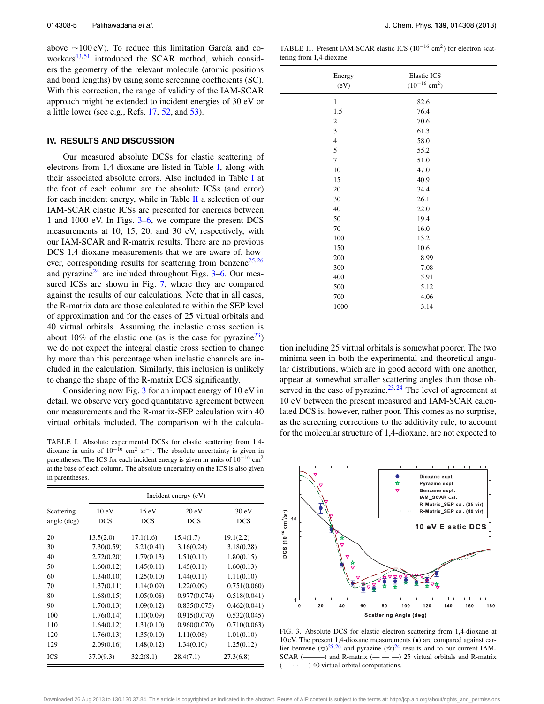above ∼100 eV). To reduce this limitation García and co-workers<sup>[43,](#page-10-2)[51](#page-10-10)</sup> introduced the SCAR method, which considers the geometry of the relevant molecule (atomic positions and bond lengths) by using some screening coefficients (SC). With this correction, the range of validity of the IAM-SCAR approach might be extended to incident energies of 30 eV or a little lower (see e.g., Refs.  $17, 52$  $17, 52$ , and  $53$ ).

#### <span id="page-6-0"></span>**IV. RESULTS AND DISCUSSION**

Our measured absolute DCSs for elastic scattering of electrons from 1,4-dioxane are listed in Table [I,](#page-6-1) along with their associated absolute errors. Also included in Table [I](#page-6-1) at the foot of each column are the absolute ICSs (and error) for each incident energy, while in Table  $II$  a selection of our IAM-SCAR elastic ICSs are presented for energies between 1 and 1000 eV. In Figs. [3](#page-6-3)[–6,](#page-7-0) we compare the present DCS measurements at 10, 15, 20, and 30 eV, respectively, with our IAM-SCAR and R-matrix results. There are no previous DCS 1,4-dioxane measurements that we are aware of, how-ever, corresponding results for scattering from benzene<sup>[25,](#page-9-19)[26](#page-9-20)</sup> and pyrazine $^{24}$  $^{24}$  $^{24}$  are included throughout Figs. [3–](#page-6-3)[6.](#page-7-0) Our measured ICSs are shown in Fig. [7,](#page-7-1) where they are compared against the results of our calculations. Note that in all cases, the R-matrix data are those calculated to within the SEP level of approximation and for the cases of 25 virtual orbitals and 40 virtual orbitals. Assuming the inelastic cross section is about 10% of the elastic one (as is the case for pyrazine<sup>23</sup>) we do not expect the integral elastic cross section to change by more than this percentage when inelastic channels are included in the calculation. Similarly, this inclusion is unlikely to change the shape of the R-matrix DCS significantly.

Considering now Fig. [3](#page-6-3) for an impact energy of 10 eV in detail, we observe very good quantitative agreement between our measurements and the R-matrix-SEP calculation with 40 virtual orbitals included. The comparison with the calcula-

<span id="page-6-1"></span>TABLE I. Absolute experimental DCSs for elastic scattering from 1,4 dioxane in units of  $10^{-16}$  cm<sup>2</sup> sr<sup>-1</sup>. The absolute uncertainty is given in parentheses. The ICS for each incident energy is given in units of  $10^{-16}$  cm<sup>2</sup> at the base of each column. The absolute uncertainty on the ICS is also given in parentheses.

|                                    | Incident energy (eV)          |                     |                     |                     |
|------------------------------------|-------------------------------|---------------------|---------------------|---------------------|
| Scattering<br>angle $(\text{deg})$ | $10 \text{ eV}$<br><b>DCS</b> | 15 eV<br><b>DCS</b> | 20 eV<br><b>DCS</b> | 30 eV<br><b>DCS</b> |
| 20                                 | 13.5(2.0)                     | 17.1(1.6)           | 15.4(1.7)           | 19.1(2.2)           |
| 30                                 | 7.30(0.59)                    | 5.21(0.41)          | 3.16(0.24)          | 3.18(0.28)          |
| 40                                 | 2.72(0.20)                    | 1.79(0.13)          | 1.51(0.11)          | 1.80(0.15)          |
| 50                                 | 1.60(0.12)                    | 1.45(0.11)          | 1.45(0.11)          | 1.60(0.13)          |
| 60                                 | 1.34(0.10)                    | 1.25(0.10)          | 1.44(0.11)          | 1.11(0.10)          |
| 70                                 | 1.37(0.11)                    | 1.14(0.09)          | 1.22(0.09)          | 0.751(0.060)        |
| 80                                 | 1.68(0.15)                    | 1.05(0.08)          | 0.977(0.074)        | 0.518(0.041)        |
| 90                                 | 1.70(0.13)                    | 1.09(0.12)          | 0.835(0.075)        | 0.462(0.041)        |
| 100                                | 1.76(0.14)                    | 1.10(0.09)          | 0.915(0.070)        | 0.532(0.045)        |
| 110                                | 1.64(0.12)                    | 1.31(0.10)          | 0.960(0.070)        | 0.710(0.063)        |
| 120                                | 1.76(0.13)                    | 1.35(0.10)          | 1.11(0.08)          | 1.01(0.10)          |
| 129                                | 2.09(0.16)                    | 1.48(0.12)          | 1.34(0.10)          | 1.25(0.12)          |
| ICS                                | 37.0(9.3)                     | 32.2(8.1)           | 28.4(7.1)           | 27.3(6.8)           |

<span id="page-6-2"></span>TABLE II. Present IAM-SCAR elastic ICS (10<sup>-16</sup> cm<sup>2</sup>) for electron scattering from 1,4-dioxane.

| Energy<br>(eV)              | <b>Elastic ICS</b><br>$(10^{-16}$ cm <sup>2</sup> ) |  |
|-----------------------------|-----------------------------------------------------|--|
| $\mathbf{1}$                | 82.6                                                |  |
| 1.5                         | 76.4                                                |  |
| $\sqrt{2}$                  | 70.6                                                |  |
| $\ensuremath{\mathfrak{Z}}$ | 61.3                                                |  |
| $\overline{4}$              | 58.0                                                |  |
| 5                           | 55.2                                                |  |
| $\overline{7}$              | 51.0                                                |  |
| 10                          | 47.0                                                |  |
| 15                          | 40.9                                                |  |
| 20                          | 34.4                                                |  |
| 30                          | 26.1                                                |  |
| 40                          | 22.0                                                |  |
| 50                          | 19.4                                                |  |
| 70                          | 16.0                                                |  |
| 100                         | 13.2                                                |  |
| 150                         | 10.6                                                |  |
| 200                         | 8.99                                                |  |
| 300                         | 7.08                                                |  |
| 400                         | 5.91                                                |  |
| 500                         | 5.12                                                |  |
| 700                         | 4.06                                                |  |
| 1000                        | 3.14                                                |  |

tion including 25 virtual orbitals is somewhat poorer. The two minima seen in both the experimental and theoretical angular distributions, which are in good accord with one another, appear at somewhat smaller scattering angles than those observed in the case of pyrazine. $23,24$  $23,24$  The level of agreement at 10 eV between the present measured and IAM-SCAR calculated DCS is, however, rather poor. This comes as no surprise, as the screening corrections to the additivity rule, to account for the molecular structure of 1,4-dioxane, are not expected to

<span id="page-6-3"></span>

FIG. 3. Absolute DCS for elastic electron scattering from 1,4-dioxane at 10 eV. The present 1,4-dioxane measurements (•) are compared against earlier benzene  $(\nabla)^{25,26}$  $(\nabla)^{25,26}$  $(\nabla)^{25,26}$  $(\nabla)^{25,26}$  and pyrazine  $(\mathcal{R})^{24}$  $(\mathcal{R})^{24}$  $(\mathcal{R})^{24}$  results and to our current IAM- $SCAR$  ( $\longrightarrow$ ) and R-matrix ( $\longrightarrow$ ) 25 virtual orbitals and R-matrix  $(- \cdot \cdot \cdot)$  40 virtual orbital computations.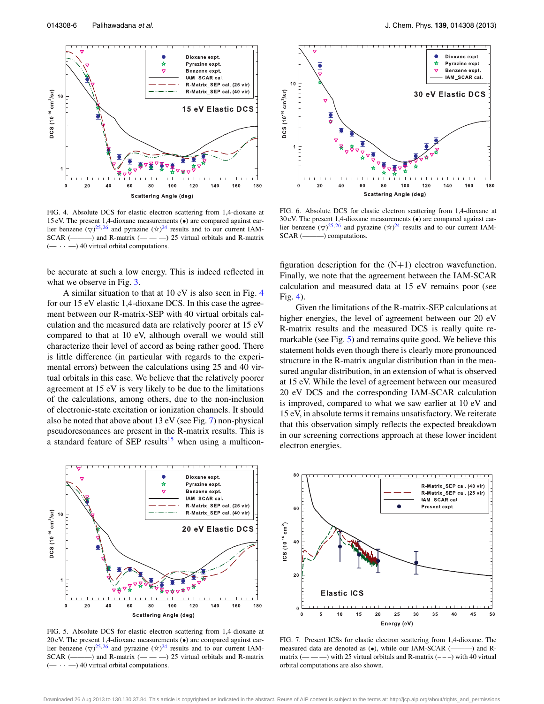<span id="page-7-2"></span>

FIG. 4. Absolute DCS for elastic electron scattering from 1,4-dioxane at 15 eV. The present 1,4-dioxane measurements (•) are compared against earlier benzene  $(\nabla)^{25,26}$  $(\nabla)^{25,26}$  $(\nabla)^{25,26}$  $(\nabla)^{25,26}$  and pyrazine  $(\mathbf{\hat{x}})^{24}$  $(\mathbf{\hat{x}})^{24}$  $(\mathbf{\hat{x}})^{24}$  results and to our current IAM- $SCAR$  (———) and R-matrix (— — —) 25 virtual orbitals and R-matrix  $(- \cdot - )$  40 virtual orbital computations.

be accurate at such a low energy. This is indeed reflected in what we observe in Fig. [3.](#page-6-3)

A similar situation to that at 10 eV is also seen in Fig. [4](#page-7-2) for our 15 eV elastic 1,4-dioxane DCS. In this case the agreement between our R-matrix-SEP with 40 virtual orbitals calculation and the measured data are relatively poorer at 15 eV compared to that at 10 eV, although overall we would still characterize their level of accord as being rather good. There is little difference (in particular with regards to the experimental errors) between the calculations using 25 and 40 virtual orbitals in this case. We believe that the relatively poorer agreement at 15 eV is very likely to be due to the limitations of the calculations, among others, due to the non-inclusion of electronic-state excitation or ionization channels. It should also be noted that above about 13 eV (see Fig. [7\)](#page-7-1) non-physical pseudoresonances are present in the R-matrix results. This is a standard feature of SEP results<sup>[15](#page-9-9)</sup> when using a multicon-

<span id="page-7-3"></span>

FIG. 5. Absolute DCS for elastic electron scattering from 1,4-dioxane at 20 eV. The present 1,4-dioxane measurements (•) are compared against earlier benzene  $(\nabla)^{25,26}$  $(\nabla)^{25,26}$  $(\nabla)^{25,26}$  $(\nabla)^{25,26}$  and pyrazine  $(\mathbf{\hat{x}})^{24}$  $(\mathbf{\hat{x}})^{24}$  $(\mathbf{\hat{x}})^{24}$  results and to our current IAM-SCAR  $(\_\_\_\)$  and R-matrix  $(\_\_\_\_\)$  25 virtual orbitals and R-matrix  $- \cdot -$ ) 40 virtual orbital computations.

<span id="page-7-0"></span>

FIG. 6. Absolute DCS for elastic electron scattering from 1,4-dioxane at 30 eV. The present 1,4-dioxane measurements (•) are compared against earlier benzene  $(\nabla)^{25,26}$  $(\nabla)^{25,26}$  $(\nabla)^{25,26}$  $(\nabla)^{25,26}$  and pyrazine  $(\nabla)^{24}$  $(\nabla)^{24}$  $(\nabla)^{24}$  results and to our current IAM-SCAR (———) computations.

figuration description for the  $(N+1)$  electron wavefunction. Finally, we note that the agreement between the IAM-SCAR calculation and measured data at 15 eV remains poor (see Fig. [4\)](#page-7-2).

Given the limitations of the R-matrix-SEP calculations at higher energies, the level of agreement between our 20 eV R-matrix results and the measured DCS is really quite re-markable (see Fig. [5\)](#page-7-3) and remains quite good. We believe this statement holds even though there is clearly more pronounced structure in the R-matrix angular distribution than in the measured angular distribution, in an extension of what is observed at 15 eV. While the level of agreement between our measured 20 eV DCS and the corresponding IAM-SCAR calculation is improved, compared to what we saw earlier at 10 eV and 15 eV, in absolute terms it remains unsatisfactory. We reiterate that this observation simply reflects the expected breakdown in our screening corrections approach at these lower incident electron energies.

<span id="page-7-1"></span>

FIG. 7. Present ICSs for elastic electron scattering from 1,4-dioxane. The measured data are denoted as (•), while our IAM-SCAR (———) and Rmatrix  $($ — —  $)$  with 25 virtual orbitals and R-matrix  $($  –  $)$  with 40 virtual orbital computations are also shown.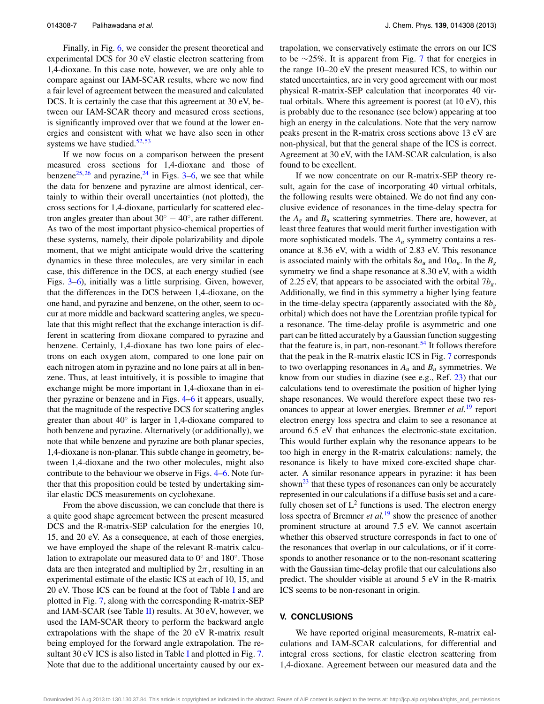Finally, in Fig. [6,](#page-7-0) we consider the present theoretical and experimental DCS for 30 eV elastic electron scattering from 1,4-dioxane. In this case note, however, we are only able to compare against our IAM-SCAR results, where we now find a fair level of agreement between the measured and calculated DCS. It is certainly the case that this agreement at 30 eV, between our IAM-SCAR theory and measured cross sections, is significantly improved over that we found at the lower energies and consistent with what we have also seen in other systems we have studied. $52, 53$  $52, 53$ 

If we now focus on a comparison between the present measured cross sections for 1,4-dioxane and those of benzene<sup>25, [26](#page-9-20)</sup> and pyrazine, <sup>[24](#page-9-18)</sup> in Figs. [3](#page-6-3)[–6,](#page-7-0) we see that while the data for benzene and pyrazine are almost identical, certainly to within their overall uncertainties (not plotted), the cross sections for 1,4-dioxane, particularly for scattered electron angles greater than about  $30^\circ - 40^\circ$ , are rather different. As two of the most important physico-chemical properties of these systems, namely, their dipole polarizability and dipole moment, that we might anticipate would drive the scattering dynamics in these three molecules, are very similar in each case, this difference in the DCS, at each energy studied (see Figs. [3](#page-6-3)[–6\)](#page-7-0), initially was a little surprising. Given, however, that the differences in the DCS between 1,4-dioxane, on the one hand, and pyrazine and benzene, on the other, seem to occur at more middle and backward scattering angles, we speculate that this might reflect that the exchange interaction is different in scattering from dioxane compared to pyrazine and benzene. Certainly, 1,4-dioxane has two lone pairs of electrons on each oxygen atom, compared to one lone pair on each nitrogen atom in pyrazine and no lone pairs at all in benzene. Thus, at least intuitively, it is possible to imagine that exchange might be more important in 1,4-dioxane than in either pyrazine or benzene and in Figs. [4–](#page-7-2)[6](#page-7-0) it appears, usually, that the magnitude of the respective DCS for scattering angles greater than about  $40^\circ$  is larger in 1,4-dioxane compared to both benzene and pyrazine. Alternatively (or additionally), we note that while benzene and pyrazine are both planar species, 1,4-dioxane is non-planar. This subtle change in geometry, between 1,4-dioxane and the two other molecules, might also contribute to the behaviour we observe in Figs. [4–](#page-7-2)[6.](#page-7-0) Note further that this proposition could be tested by undertaking similar elastic DCS measurements on cyclohexane.

From the above discussion, we can conclude that there is a quite good shape agreement between the present measured DCS and the R-matrix-SEP calculation for the energies 10, 15, and 20 eV. As a consequence, at each of those energies, we have employed the shape of the relevant R-matrix calculation to extrapolate our measured data to 0◦ and 180◦. Those data are then integrated and multiplied by  $2\pi$ , resulting in an experimental estimate of the elastic ICS at each of 10, 15, and 20 eV. Those ICS can be found at the foot of Table [I](#page-6-1) and are plotted in Fig. [7,](#page-7-1) along with the corresponding R-matrix-SEP and IAM-SCAR (see Table [II\)](#page-6-2) results. At  $30 \text{ eV}$ , however, we used the IAM-SCAR theory to perform the backward angle extrapolations with the shape of the 20 eV R-matrix result being employed for the forward angle extrapolation. The re-sultant 30 eV [I](#page-6-1)CS is also listed in Table I and plotted in Fig. [7.](#page-7-1) Note that due to the additional uncertainty caused by our extrapolation, we conservatively estimate the errors on our ICS to be ∼25%. It is apparent from Fig. [7](#page-7-1) that for energies in the range 10–20 eV the present measured ICS, to within our stated uncertainties, are in very good agreement with our most physical R-matrix-SEP calculation that incorporates 40 virtual orbitals. Where this agreement is poorest (at 10 eV), this is probably due to the resonance (see below) appearing at too high an energy in the calculations. Note that the very narrow peaks present in the R-matrix cross sections above 13 eV are non-physical, but that the general shape of the ICS is correct. Agreement at 30 eV, with the IAM-SCAR calculation, is also found to be excellent.

If we now concentrate on our R-matrix-SEP theory result, again for the case of incorporating 40 virtual orbitals, the following results were obtained. We do not find any conclusive evidence of resonances in the time-delay spectra for the  $A_g$  and  $B_u$  scattering symmetries. There are, however, at least three features that would merit further investigation with more sophisticated models. The *Au* symmetry contains a resonance at 8.36 eV, with a width of 2.83 eV. This resonance is associated mainly with the orbitals  $8a_u$  and  $10a_u$ . In the  $B_g$ symmetry we find a shape resonance at 8.30 eV, with a width of 2.25 eV, that appears to be associated with the orbital 7*bg*. Additionally, we find in this symmetry a higher lying feature in the time-delay spectra (apparently associated with the  $8b<sub>g</sub>$ orbital) which does not have the Lorentzian profile typical for a resonance. The time-delay profile is asymmetric and one part can be fitted accurately by a Gaussian function suggesting that the feature is, in part, non-resonant.<sup>54</sup> It follows therefore that the peak in the R-matrix elastic ICS in Fig. [7](#page-7-1) corresponds to two overlapping resonances in  $A_u$  and  $B_u$  symmetries. We know from our studies in diazine (see e.g., Ref. [23\)](#page-9-17) that our calculations tend to overestimate the position of higher lying shape resonances. We would therefore expect these two resonances to appear at lower energies. Bremner *et al.*[19](#page-9-13) report electron energy loss spectra and claim to see a resonance at around 6.5 eV that enhances the electronic-state excitation. This would further explain why the resonance appears to be too high in energy in the R-matrix calculations: namely, the resonance is likely to have mixed core-excited shape character. A similar resonance appears in pyrazine: it has been shown $^{23}$  that these types of resonances can only be accurately represented in our calculations if a diffuse basis set and a carefully chosen set of  $L^2$  functions is used. The electron energy loss spectra of Bremner *et al.*<sup>[19](#page-9-13)</sup> show the presence of another prominent structure at around 7.5 eV. We cannot ascertain whether this observed structure corresponds in fact to one of the resonances that overlap in our calculations, or if it corresponds to another resonance or to the non-resonant scattering with the Gaussian time-delay profile that our calculations also predict. The shoulder visible at around 5 eV in the R-matrix ICS seems to be non-resonant in origin.

#### <span id="page-8-0"></span>**V. CONCLUSIONS**

We have reported original measurements, R-matrix calculations and IAM-SCAR calculations, for differential and integral cross sections, for elastic electron scattering from 1,4-dioxane. Agreement between our measured data and the

Downloaded 26 Aug 2013 to 130.130.37.84. This article is copyrighted as indicated in the abstract. Reuse of AIP content is subject to the terms at: http://jcp.aip.org/about/rights\_and\_permissions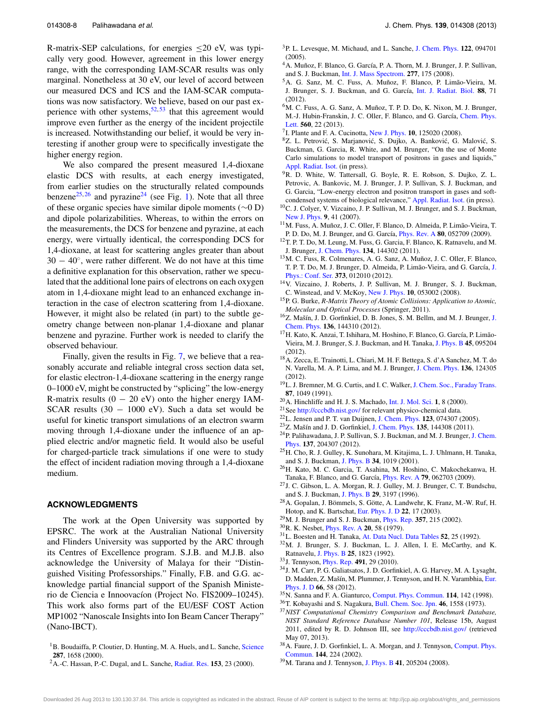R-matrix-SEP calculations, for energies  $\leq$ 20 eV, was typically very good. However, agreement in this lower energy range, with the corresponding IAM-SCAR results was only marginal. Nonetheless at 30 eV, our level of accord between our measured DCS and ICS and the IAM-SCAR computations was now satisfactory. We believe, based on our past experience with other systems,  $52, 53$  $52, 53$  $52, 53$  that this agreement would improve even further as the energy of the incident projectile is increased. Notwithstanding our belief, it would be very interesting if another group were to specifically investigate the higher energy region.

We also compared the present measured 1,4-dioxane elastic DCS with results, at each energy investigated, from earlier studies on the structurally related compounds benzene<sup>25, [26](#page-9-20)</sup> and pyrazine<sup>[24](#page-9-18)</sup> (see Fig. [1\)](#page-3-0). Note that all three of these organic species have similar dipole moments (∼0 D) and dipole polarizabilities. Whereas, to within the errors on the measurements, the DCS for benzene and pyrazine, at each energy, were virtually identical, the corresponding DCS for 1,4-dioxane, at least for scattering angles greater than about  $30 - 40^\circ$ , were rather different. We do not have at this time a definitive explanation for this observation, rather we speculated that the additional lone pairs of electrons on each oxygen atom in 1,4-dioxane might lead to an enhanced exchange interaction in the case of electron scattering from 1,4-dioxane. However, it might also be related (in part) to the subtle geometry change between non-planar 1,4-dioxane and planar benzene and pyrazine. Further work is needed to clarify the observed behaviour.

Finally, given the results in Fig. [7,](#page-7-1) we believe that a reasonably accurate and reliable integral cross section data set, for elastic electron-1,4-dioxane scattering in the energy range 0–1000 eV, might be constructed by "splicing" the low-energy R-matrix results  $(0 - 20$  eV) onto the higher energy IAM-SCAR results  $(30 - 1000 \text{ eV})$ . Such a data set would be useful for kinetic transport simulations of an electron swarm moving through 1,4-dioxane under the influence of an applied electric and/or magnetic field. It would also be useful for charged-particle track simulations if one were to study the effect of incident radiation moving through a 1,4-dioxane medium.

#### **ACKNOWLEDGMENTS**

The work at the Open University was supported by EPSRC. The work at the Australian National University and Flinders University was supported by the ARC through its Centres of Excellence program. S.J.B. and M.J.B. also acknowledge the University of Malaya for their "Distinguished Visiting Professorships." Finally, F.B. and G.G. acknowledge partial financial support of the Spanish Ministerio de Ciencia e Innoovacíon (Project No. FIS2009–10245). This work also forms part of the EU/ESF COST Action MP1002 "Nanoscale Insights into Ion Beam Cancer Therapy" (Nano-IBCT).

<span id="page-9-0"></span><sup>1</sup>B. Boudaiffa, P. Cloutier, D. Hunting, M. A. Huels, and L. Sanche, [Science](http://dx.doi.org/10.1126/science.287.5458.1658) **287**, 1658 (2000).

<span id="page-9-1"></span>2A.-C. Hassan, P.-C. Dugal, and L. Sanche, [Radiat. Res.](http://dx.doi.org/10.1667/0033-7587(2000)153[0023:DIBEEO]2.0.CO;2) **153**, 23 (2000).

- <span id="page-9-2"></span>3P. L. Levesque, M. Michaud, and L. Sanche, [J. Chem. Phys.](http://dx.doi.org/10.1063/1.1854121) **122**, 094701 (2005).
- <span id="page-9-3"></span>4A. Muñoz, F. Blanco, G. García, P. A. Thorn, M. J. Brunger, J. P. Sullivan, and S. J. Buckman, [Int. J. Mass Spectrom.](http://dx.doi.org/10.1016/j.ijms.2008.04.028) **277**, 175 (2008).
- 5A. G. Sanz, M. C. Fuss, A. Muñoz, F. Blanco, P. Limão-Vieira, M. J. Brunger, S. J. Buckman, and G. García, [Int. J. Radiat. Biol.](http://dx.doi.org/10.3109/09553002.2011.624151) **88**, 71 (2012).
- <span id="page-9-5"></span>6M. C. Fuss, A. G. Sanz, A. Muñoz, T. P. D. Do, K. Nixon, M. J. Brunger, M.-J. Hubin-Franskin, J. C. Oller, F. Blanco, and G. García, [Chem. Phys.](http://dx.doi.org/10.1016/j.cplett.2013.01.020) [Lett.](http://dx.doi.org/10.1016/j.cplett.2013.01.020) **560**, 22 (2013).
- 7I. Plante and F. A. Cucinotta, [New J. Phys.](http://dx.doi.org/10.1088/1367-2630/10/12/125020) **10**, 125020 (2008).
- <sup>8</sup>Z. L. Petrović, S. Marjanović, S. Dujko, A. Banković, G. Malović, S. Buckman, G. Garcia, R. White, and M. Brunger, "On the use of Monte Carlo simulations to model transport of positrons in gases and liquids," [Appl. Radiat. Isot.](http://dx.doi.org/10.1016/j.apradiso.2013.01.010) (in press).
- <span id="page-9-4"></span><sup>9</sup>R. D. White, W. Tattersall, G. Boyle, R. E. Robson, S. Dujko, Z. L. Petrovic, A. Bankovic, M. J. Brunger, J. P. Sullivan, S. J. Buckman, and G. Garcia, "Low-energy electron and positron transport in gases and softcondensed systems of biological relevance," [Appl. Radiat. Isot.](http://dx.doi.org/10.1016/j.apradiso.2013.01.008) (in press).
- <span id="page-9-6"></span>10C. J. Colyer, V. Vizcaino, J. P. Sullivan, M. J. Brunger, and S. J. Buckman, [New J. Phys.](http://dx.doi.org/10.1088/1367-2630/9/2/041) **9**, 41 (2007).
- 11M. Fuss, A. Muñoz, J. C. Oller, F. Blanco, D. Almeida, P. Limão-Vieira, T. P. D. Do, M. J. Brunger, and G. García, [Phys. Rev. A](http://dx.doi.org/10.1103/PhysRevA.80.052709) **80**, 052709 (2009).
- 12T. P. T. Do, M. Leung, M. Fuss, G. Garcia, F. Blanco, K. Ratnavelu, and M. J. Brunger, [J. Chem. Phys.](http://dx.doi.org/10.1063/1.3575454) **134**, 144302 (2011).
- <span id="page-9-7"></span>13M. C. Fuss, R. Colmenares, A. G. Sanz, A. Muñoz, J. C. Oller, F. Blanco, T. P. T. Do, M. J. Brunger, D. Almeida, P. Limão-Vieira, and G. García, [J.](http://dx.doi.org/10.1088/1742-6596/373/1/012010) [Phys.: Conf. Ser.](http://dx.doi.org/10.1088/1742-6596/373/1/012010) **373**, 012010 (2012).
- <span id="page-9-8"></span>14V. Vizcaino, J. Roberts, J. P. Sullivan, M. J. Brunger, S. J. Buckman, C. Winstead, and V. McKoy, [New J. Phys.](http://dx.doi.org/10.1088/1367-2630/10/5/053002) **10**, 053002 (2008).
- <span id="page-9-9"></span>15P. G. Burke, *R-Matrix Theory of Atomic Collisions: Application to Atomic, Molecular and Optical Processes* (Springer, 2011).
- <span id="page-9-10"></span>16Z. Mašín, J. D. Gorfinkiel, D. B. Jones, S. M. Bellm, and M. J. Brunger, [J.](http://dx.doi.org/10.1063/1.3702629) [Chem. Phys.](http://dx.doi.org/10.1063/1.3702629) **136**, 144310 (2012).
- <span id="page-9-11"></span>17H. Kato, K. Anzai, T. Ishihara, M. Hoshino, F. Blanco, G. García, P. Limão-Vieira, M. J. Brunger, S. J. Buckman, and H. Tanaka, [J. Phys. B](http://dx.doi.org/10.1088/0953-4075/45/9/095204) **45**, 095204 (2012).
- <span id="page-9-12"></span>18A. Zecca, E. Trainotti, L. Chiari, M. H. F. Bettega, S. d'A Sanchez, M. T. do N. Varella, M. A. P. Lima, and M. J. Brunger, [J. Chem. Phys.](http://dx.doi.org/10.1063/1.3696378) **136**, 124305 (2012).
- <span id="page-9-13"></span><sup>19</sup>L. J. Bremner, M. G. Curtis, and I. C. Walker, [J. Chem. Soc., Faraday Trans.](http://dx.doi.org/10.1039/ft9918701049) **87**, 1049 (1991).
- <span id="page-9-15"></span><span id="page-9-14"></span>20A. Hinchliffe and H. J. S. Machado, [Int. J. Mol. Sci.](http://dx.doi.org/10.3390/ijms1010008) **1**, 8 (2000).
- <span id="page-9-16"></span>21See <http://cccbdb.nist.gov/> for relevant physico-chemical data.
- <span id="page-9-17"></span>22L. Jensen and P. T. van Duijnen, [J. Chem. Phys.](http://dx.doi.org/10.1063/1.1999633) **123**, 074307 (2005).
- <span id="page-9-18"></span>23Z. Mašín and J. D. Gorfinkiel, [J. Chem. Phys.](http://dx.doi.org/10.1063/1.3650236) **135**, 144308 (2011). 24P. Palihawadana, J. P. Sullivan, S. J. Buckman, and M. J. Brunger, [J. Chem.](http://dx.doi.org/10.1063/1.4767570)
- [Phys.](http://dx.doi.org/10.1063/1.4767570) **137**, 204307 (2012).
- <span id="page-9-19"></span> $^{25}{\rm H}$  Cho, R. J. Gulley, K. Sunohara, M. Kitajima, L. J. Uhlmann, H. Tanaka, and S. J. Buckman, [J. Phys. B](http://dx.doi.org/10.1088/0953-4075/34/6/304) **34**, 1019 (2001).
- <span id="page-9-20"></span>26H. Kato, M. C. Garcia, T. Asahina, M. Hoshino, C. Makochekanwa, H. Tanaka, F. Blanco, and G. García, [Phys. Rev. A](http://dx.doi.org/10.1103/PhysRevA.79.062703) **79**, 062703 (2009).
- <span id="page-9-21"></span>27J. C. Gibson, L. A. Morgan, R. J. Gulley, M. J. Brunger, C. T. Bundschu, and S. J. Buckman, [J. Phys. B](http://dx.doi.org/10.1088/0953-4075/29/14/026) **29**, 3197 (1996).
- <span id="page-9-22"></span>28A. Gopalan, J. Bömmels, S. Götte, A. Landwehr, K. Franz, M.-W. Ruf, H. Hotop, and K. Bartschat, [Eur. Phys. J. D](http://dx.doi.org/10.1140/epjd/e2002-00219-7) **22**, 17 (2003).
- <span id="page-9-24"></span><span id="page-9-23"></span>29M. J. Brunger and S. J. Buckman, [Phys. Rep.](http://dx.doi.org/10.1016/S0370-1573(01)00032-1) **357**, 215 (2002).
- <span id="page-9-25"></span>30R. K. Nesbet, [Phys. Rev. A](http://dx.doi.org/10.1103/PhysRevA.20.58) **20**, 58 (1979).
- <span id="page-9-26"></span>31L. Boesten and H. Tanaka, [At. Data Nucl. Data Tables](http://dx.doi.org/10.1016/0092-640X(92)90008-6) **52**, 25 (1992).
- 32M. J. Brunger, S. J. Buckman, L. J. Allen, I. E. McCarthy, and K. Ratnavelu, [J. Phys. B](http://dx.doi.org/10.1088/0953-4075/25/8/016) **25**, 1823 (1992).
- <span id="page-9-28"></span><span id="page-9-27"></span>33J. Tennyson, [Phys. Rep.](http://dx.doi.org/10.1016/j.physrep.2010.02.001) **491**, 29 (2010).
- 34J. M. Carr, P. G. Galiatsatos, J. D. Gorfinkiel, A. G. Harvey, M. A. Lysaght, D. Madden, Z. Mašín, M. Plummer, J. Tennyson, and H. N. Varambhia, [Eur.](http://dx.doi.org/10.1140/epjd/e2011-20653-6) [Phys. J. D](http://dx.doi.org/10.1140/epjd/e2011-20653-6) **66**, 58 (2012).
- <span id="page-9-30"></span><span id="page-9-29"></span>35N. Sanna and F. A. Gianturco, [Comput. Phys. Commun.](http://dx.doi.org/10.1016/S0010-4655(98)00091-5) **114**, 142 (1998).
- <span id="page-9-31"></span>36T. Kobayashi and S. Nagakura, [Bull. Chem. Soc. Jpn.](http://dx.doi.org/10.1246/bcsj.46.1558) **46**, 1558 (1973).
- <sup>37</sup>*NIST Computational Chemistry Comparison and Benchmark Database, NIST Standard Reference Database Number 101*, Release 15b, August 2011, edited by R. D. Johnson III, see <http://cccbdb.nist.gov/> (retrieved May 07, 2013).
- <span id="page-9-32"></span>38A. Faure, J. D. Gorfinkiel, L. A. Morgan, and J. Tennyson, [Comput. Phys.](http://dx.doi.org/10.1016/S0010-4655(02)00141-8) [Commun.](http://dx.doi.org/10.1016/S0010-4655(02)00141-8) **144**, 224 (2002).
- <span id="page-9-33"></span>39M. Tarana and J. Tennyson, [J. Phys. B](http://dx.doi.org/10.1088/0953-4075/41/20/205204) **41**, 205204 (2008).
-